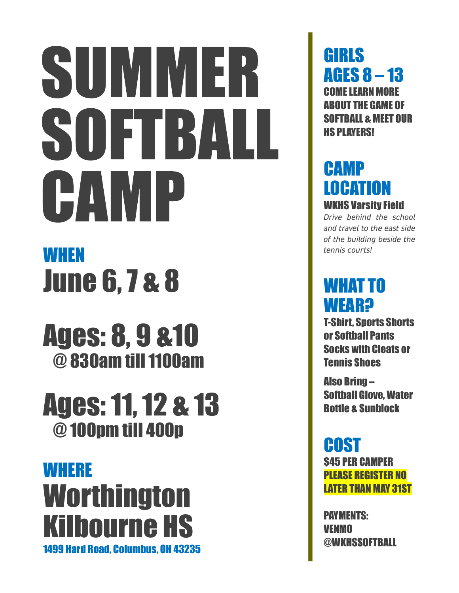# SUMMER SOFTBALL CAMP

## **WHEN** June 6, 7 & 8

Ages: 8, 9 &10 @ 830am till 1100am

## Ages: 11, 12 & 13 @ 100pm till 400p

## **WHERE Worthington** Kilbourne HS 1499 Hard Road, Columbus, OH 43235

GIRLS AGES 8 – 13 COME LEARN MORE ABOUT THE GAME OF SOFTBALL & MEET OUR HS PLAYERS!

#### CAMP LOCATION WKHS Varsity Field

Drive behind the school and travel to the east side of the building beside the tennis courts!

### WHAT TO **WEAR?**

T-Shirt, Sports Shorts or Softball Pants Socks with Cleats or Tennis Shoes

Also Bring – Softball Glove, Water Bottle & Sunblock

## COST

\$45 PER CAMPER PLEASE REGISTER NO LATER THAN MAY 31ST

PAYMENTS: VENMO @WKHSSOFTBALL